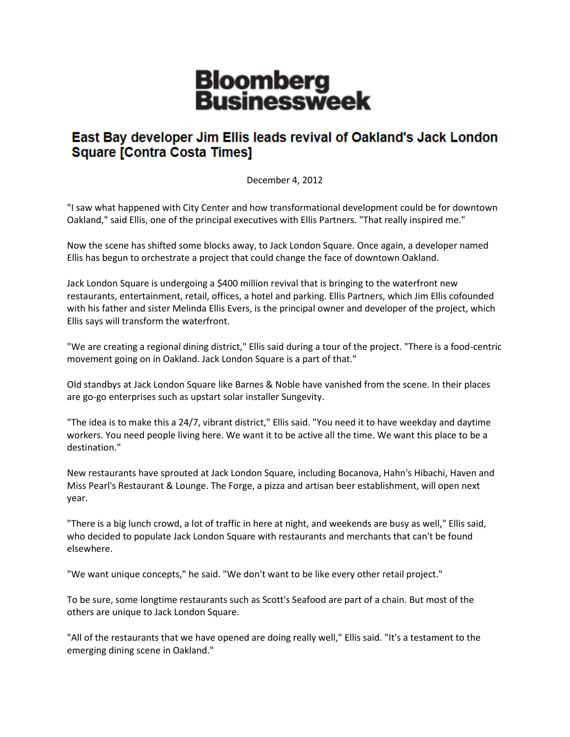## **Bloomberg<br>Businessweek**

## East Bay developer Jim Ellis leads revival of Oakland's Jack London **Square [Contra Costa Times]**

December 4, 2012

"I saw what happened with City Center and how transformational development could be for downtown Oakland," said Ellis, one of the principal executives with Ellis Partners. "That really inspired me."

Now the scene has shifted some blocks away, to Jack London Square. Once again, a developer named Ellis has begun to orchestrate a project that could change the face of downtown Oakland.

Jack London Square is undergoing a \$400 million revival that is bringing to the waterfront new restaurants, entertainment, retail, offices, a hotel and parking. Ellis Partners, which Jim Ellis cofounded with his father and sister Melinda Ellis Evers, is the principal owner and developer of the project, which Ellis says will transform the waterfront.

"We are creating a regional dining district," Ellis said during a tour of the project. "There is a food-centric movement going on in Oakland. Jack London Square is a part of that."

Old standbys at Jack London Square like Barnes & Noble have vanished from the scene. In their places are go-go enterprises such as upstart solar installer Sungevity.

"The idea is to make this a 24/7, vibrant district," Ellis said. "You need it to have weekday and daytime workers. You need people living here. We want it to be active all the time. We want this place to be a destination."

New restaurants have sprouted at Jack London Square, including Bocanova, Hahn's Hibachi, Haven and Miss Pearl's Restaurant & Lounge. The Forge, a pizza and artisan beer establishment, will open next year.

"There is a big lunch crowd, a lot of traffic in here at night, and weekends are busy as well," Ellis said, who decided to populate Jack London Square with restaurants and merchants that can't be found elsewhere.

"We want unique concepts," he said. "We don't want to be like every other retail project."

To be sure, some longtime restaurants such as Scott's Seafood are part of a chain. But most of the others are unique to Jack London Square.

"All of the restaurants that we have opened are doing really well," Ellis said. "It's a testament to the emerging dining scene in Oakland."